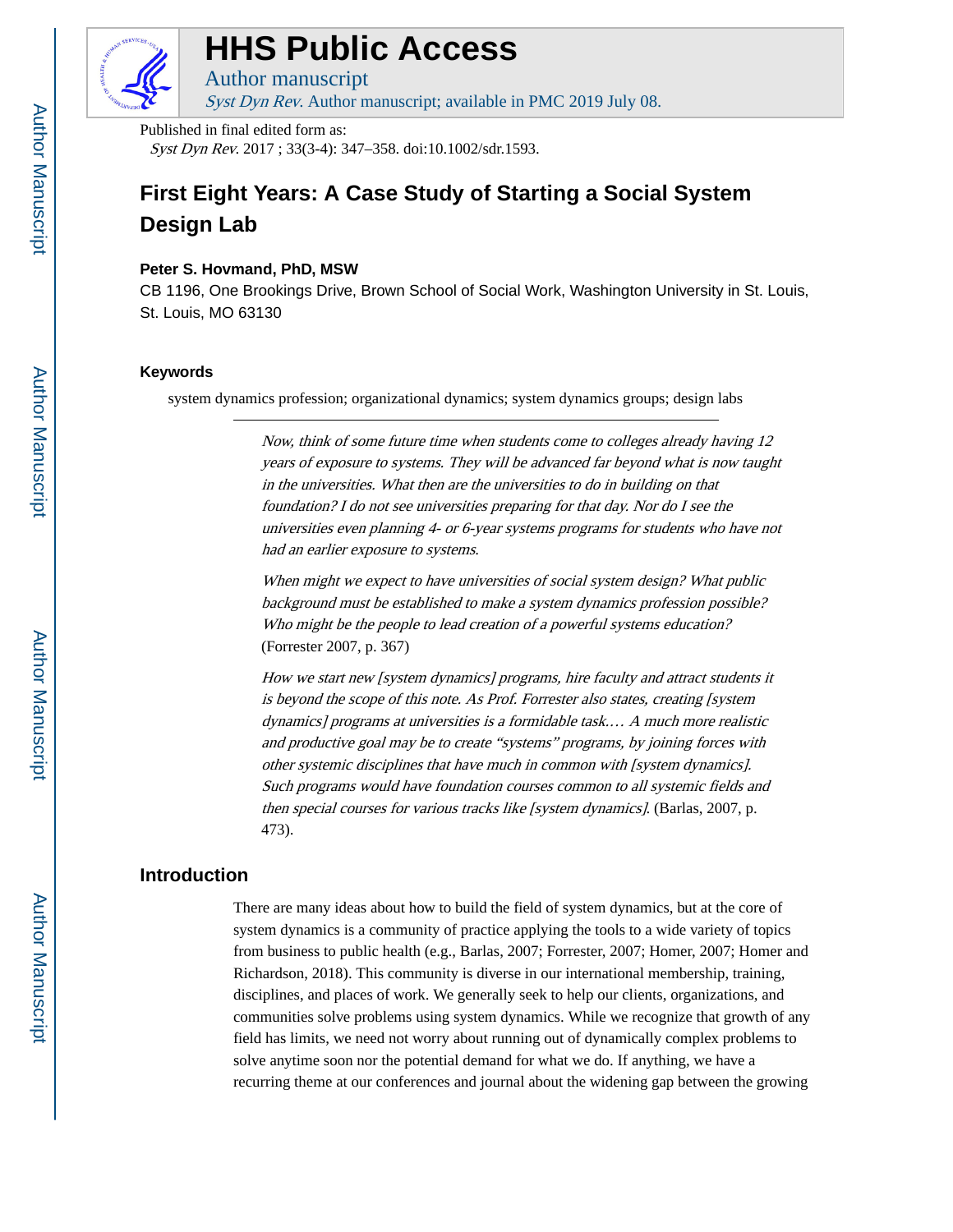

# **HHS Public Access**

Author manuscript

Syst Dyn Rev. Author manuscript; available in PMC 2019 July 08.

Published in final edited form as:

Syst Dyn Rev. 2017 ; 33(3-4): 347–358. doi:10.1002/sdr.1593.

# **First Eight Years: A Case Study of Starting a Social System Design Lab**

#### **Peter S. Hovmand, PhD, MSW**

CB 1196, One Brookings Drive, Brown School of Social Work, Washington University in St. Louis, St. Louis, MO 63130

## **Keywords**

system dynamics profession; organizational dynamics; system dynamics groups; design labs

Now, think of some future time when students come to colleges already having 12 years of exposure to systems. They will be advanced far beyond what is now taught in the universities. What then are the universities to do in building on that foundation? I do not see universities preparing for that day. Nor do I see the universities even planning 4- or 6-year systems programs for students who have not had an earlier exposure to systems.

When might we expect to have universities of social system design? What public background must be established to make a system dynamics profession possible? Who might be the people to lead creation of a powerful systems education? (Forrester 2007, p. 367)

How we start new [system dynamics] programs, hire faculty and attract students it is beyond the scope of this note. As Prof. Forrester also states, creating [system dynamics] programs at universities is a formidable task.… A much more realistic and productive goal may be to create "systems" programs, by joining forces with other systemic disciplines that have much in common with [system dynamics]. Such programs would have foundation courses common to all systemic fields and then special courses for various tracks like [system dynamics]. (Barlas, 2007, p. 473).

# **Introduction**

There are many ideas about how to build the field of system dynamics, but at the core of system dynamics is a community of practice applying the tools to a wide variety of topics from business to public health (e.g., Barlas, 2007; Forrester, 2007; Homer, 2007; Homer and Richardson, 2018). This community is diverse in our international membership, training, disciplines, and places of work. We generally seek to help our clients, organizations, and communities solve problems using system dynamics. While we recognize that growth of any field has limits, we need not worry about running out of dynamically complex problems to solve anytime soon nor the potential demand for what we do. If anything, we have a recurring theme at our conferences and journal about the widening gap between the growing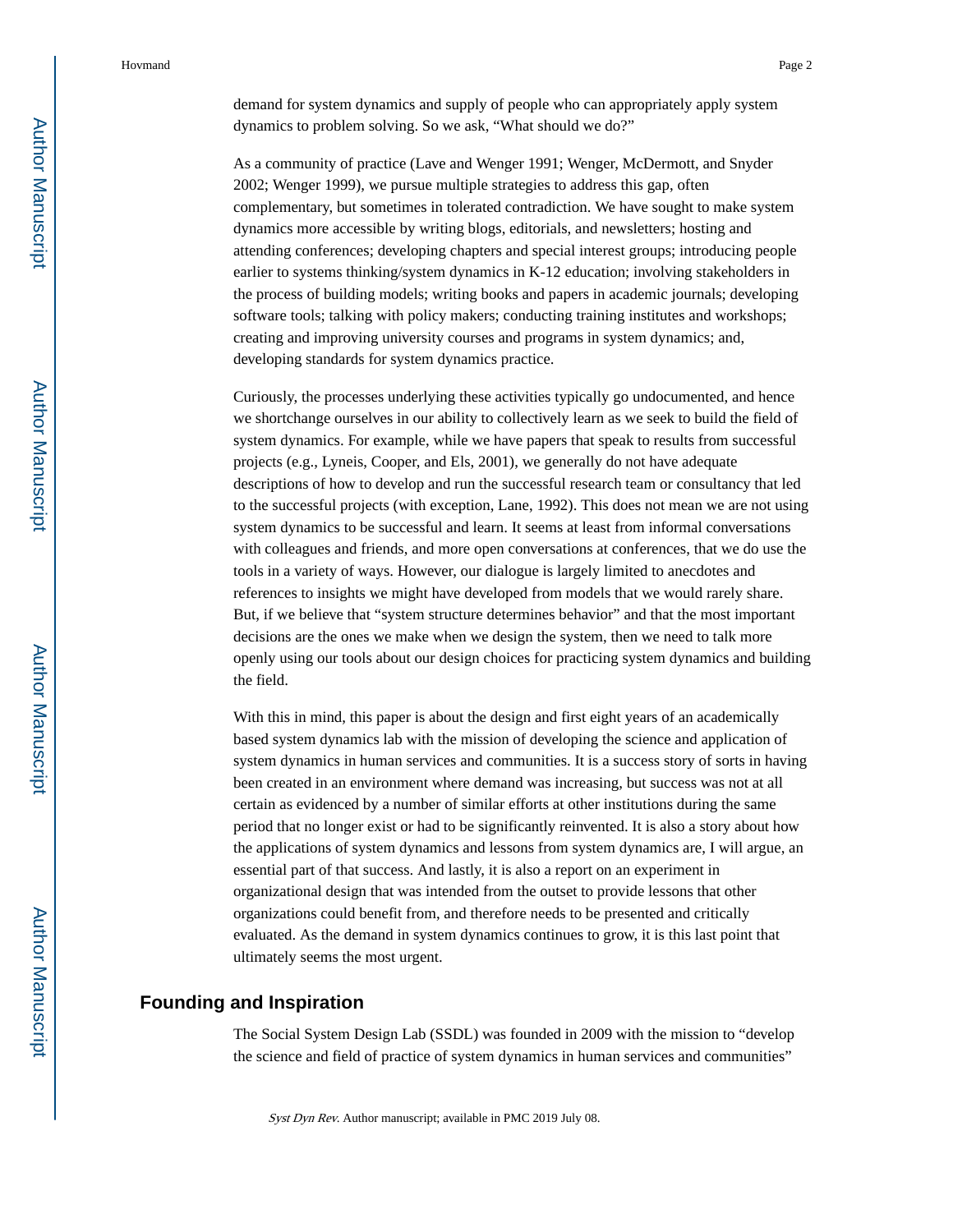demand for system dynamics and supply of people who can appropriately apply system dynamics to problem solving. So we ask, "What should we do?"

As a community of practice (Lave and Wenger 1991; Wenger, McDermott, and Snyder 2002; Wenger 1999), we pursue multiple strategies to address this gap, often complementary, but sometimes in tolerated contradiction. We have sought to make system dynamics more accessible by writing blogs, editorials, and newsletters; hosting and attending conferences; developing chapters and special interest groups; introducing people earlier to systems thinking/system dynamics in K-12 education; involving stakeholders in the process of building models; writing books and papers in academic journals; developing software tools; talking with policy makers; conducting training institutes and workshops; creating and improving university courses and programs in system dynamics; and, developing standards for system dynamics practice.

Curiously, the processes underlying these activities typically go undocumented, and hence we shortchange ourselves in our ability to collectively learn as we seek to build the field of system dynamics. For example, while we have papers that speak to results from successful projects (e.g., Lyneis, Cooper, and Els, 2001), we generally do not have adequate descriptions of how to develop and run the successful research team or consultancy that led to the successful projects (with exception, Lane, 1992). This does not mean we are not using system dynamics to be successful and learn. It seems at least from informal conversations with colleagues and friends, and more open conversations at conferences, that we do use the tools in a variety of ways. However, our dialogue is largely limited to anecdotes and references to insights we might have developed from models that we would rarely share. But, if we believe that "system structure determines behavior" and that the most important decisions are the ones we make when we design the system, then we need to talk more openly using our tools about our design choices for practicing system dynamics and building the field.

With this in mind, this paper is about the design and first eight years of an academically based system dynamics lab with the mission of developing the science and application of system dynamics in human services and communities. It is a success story of sorts in having been created in an environment where demand was increasing, but success was not at all certain as evidenced by a number of similar efforts at other institutions during the same period that no longer exist or had to be significantly reinvented. It is also a story about how the applications of system dynamics and lessons from system dynamics are, I will argue, an essential part of that success. And lastly, it is also a report on an experiment in organizational design that was intended from the outset to provide lessons that other organizations could benefit from, and therefore needs to be presented and critically evaluated. As the demand in system dynamics continues to grow, it is this last point that ultimately seems the most urgent.

#### **Founding and Inspiration**

The Social System Design Lab (SSDL) was founded in 2009 with the mission to "develop the science and field of practice of system dynamics in human services and communities"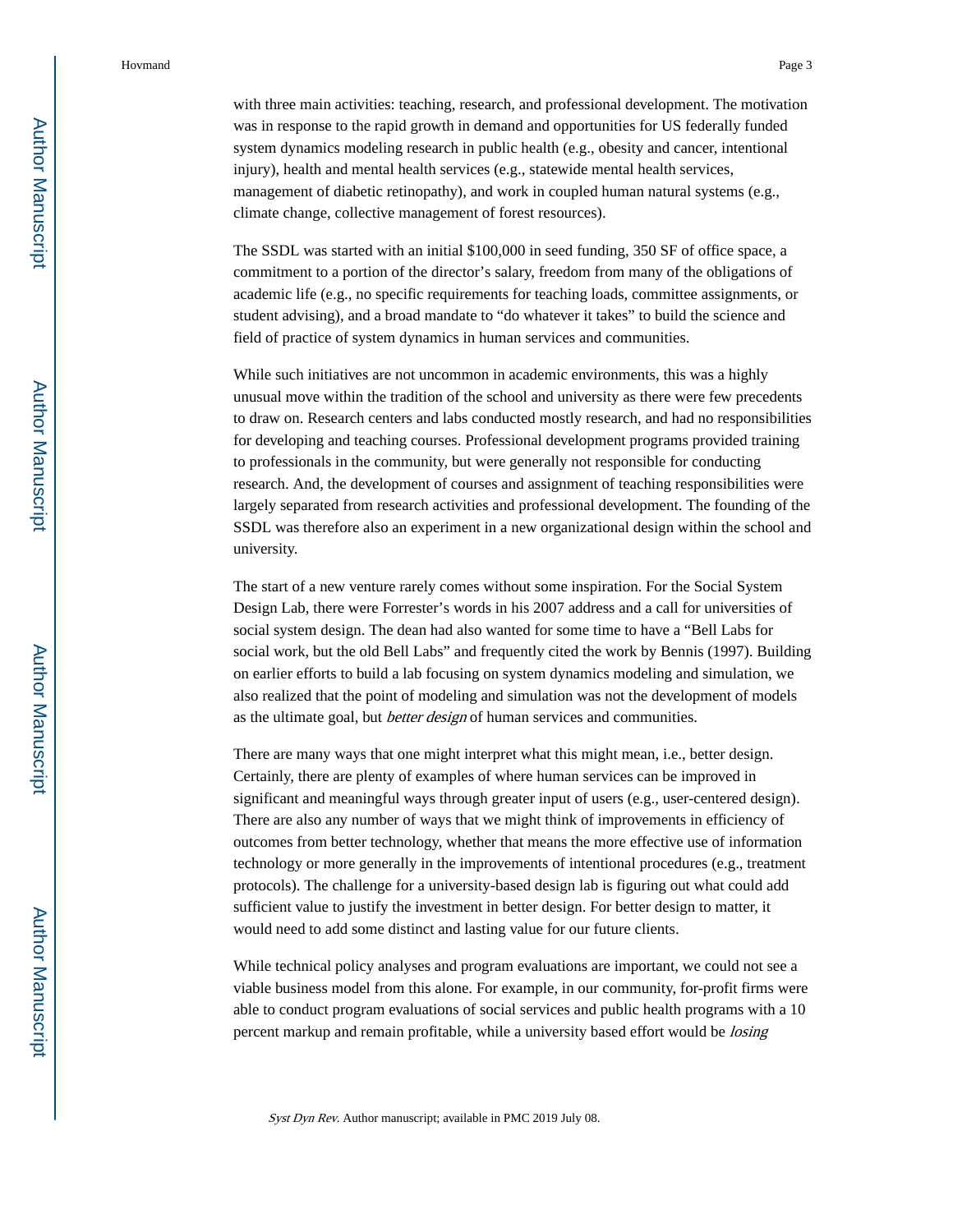with three main activities: teaching, research, and professional development. The motivation was in response to the rapid growth in demand and opportunities for US federally funded system dynamics modeling research in public health (e.g., obesity and cancer, intentional injury), health and mental health services (e.g., statewide mental health services, management of diabetic retinopathy), and work in coupled human natural systems (e.g., climate change, collective management of forest resources).

The SSDL was started with an initial \$100,000 in seed funding, 350 SF of office space, a commitment to a portion of the director's salary, freedom from many of the obligations of academic life (e.g., no specific requirements for teaching loads, committee assignments, or student advising), and a broad mandate to "do whatever it takes" to build the science and field of practice of system dynamics in human services and communities.

While such initiatives are not uncommon in academic environments, this was a highly unusual move within the tradition of the school and university as there were few precedents to draw on. Research centers and labs conducted mostly research, and had no responsibilities for developing and teaching courses. Professional development programs provided training to professionals in the community, but were generally not responsible for conducting research. And, the development of courses and assignment of teaching responsibilities were largely separated from research activities and professional development. The founding of the SSDL was therefore also an experiment in a new organizational design within the school and university.

The start of a new venture rarely comes without some inspiration. For the Social System Design Lab, there were Forrester's words in his 2007 address and a call for universities of social system design. The dean had also wanted for some time to have a "Bell Labs for social work, but the old Bell Labs" and frequently cited the work by Bennis (1997). Building on earlier efforts to build a lab focusing on system dynamics modeling and simulation, we also realized that the point of modeling and simulation was not the development of models as the ultimate goal, but better design of human services and communities.

There are many ways that one might interpret what this might mean, i.e., better design. Certainly, there are plenty of examples of where human services can be improved in significant and meaningful ways through greater input of users (e.g., user-centered design). There are also any number of ways that we might think of improvements in efficiency of outcomes from better technology, whether that means the more effective use of information technology or more generally in the improvements of intentional procedures (e.g., treatment protocols). The challenge for a university-based design lab is figuring out what could add sufficient value to justify the investment in better design. For better design to matter, it would need to add some distinct and lasting value for our future clients.

While technical policy analyses and program evaluations are important, we could not see a viable business model from this alone. For example, in our community, for-profit firms were able to conduct program evaluations of social services and public health programs with a 10 percent markup and remain profitable, while a university based effort would be *losing*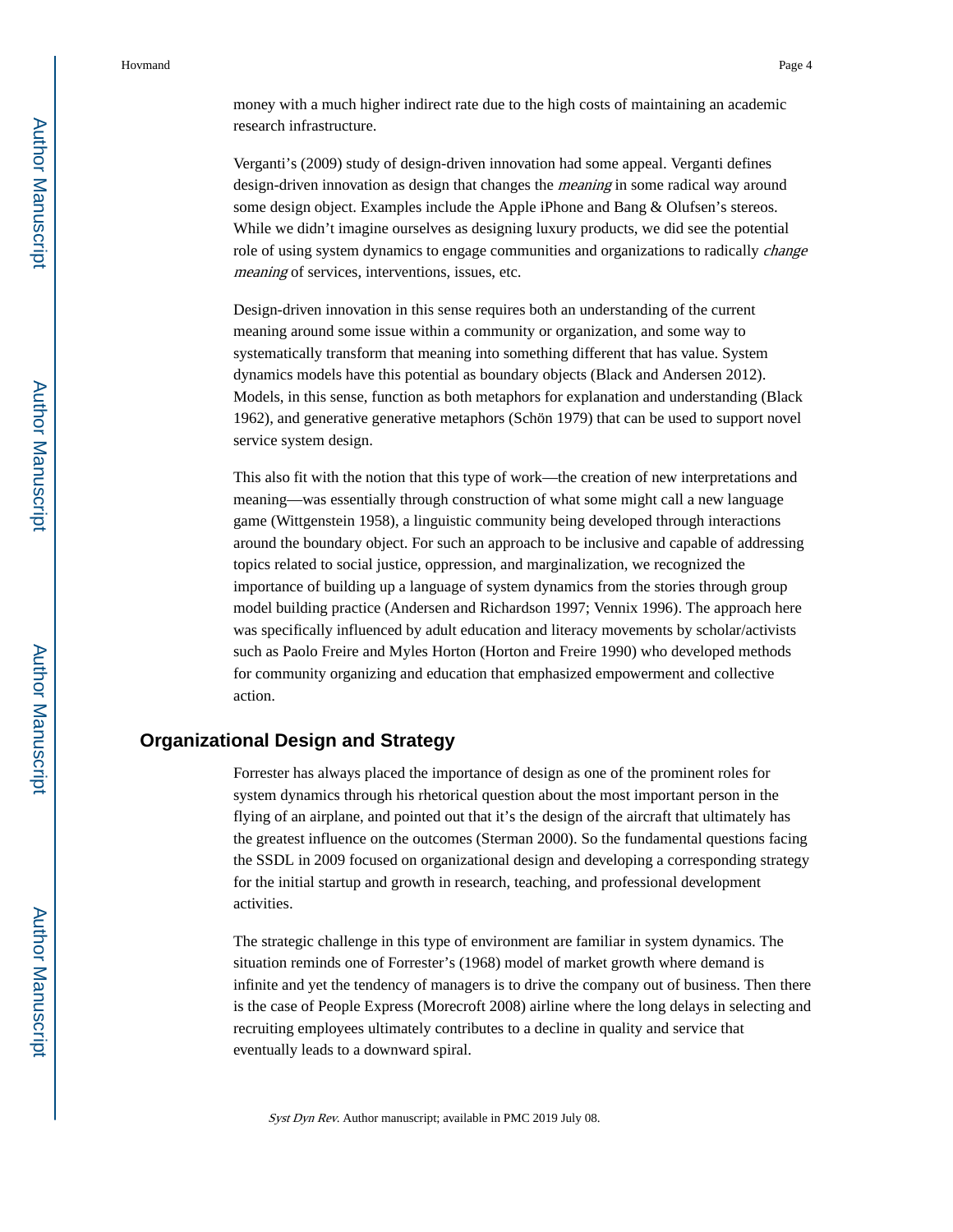money with a much higher indirect rate due to the high costs of maintaining an academic research infrastructure.

Verganti's (2009) study of design-driven innovation had some appeal. Verganti defines design-driven innovation as design that changes the *meaning* in some radical way around some design object. Examples include the Apple iPhone and Bang & Olufsen's stereos. While we didn't imagine ourselves as designing luxury products, we did see the potential role of using system dynamics to engage communities and organizations to radically *change* meaning of services, interventions, issues, etc.

Design-driven innovation in this sense requires both an understanding of the current meaning around some issue within a community or organization, and some way to systematically transform that meaning into something different that has value. System dynamics models have this potential as boundary objects (Black and Andersen 2012). Models, in this sense, function as both metaphors for explanation and understanding (Black 1962), and generative generative metaphors (Schön 1979) that can be used to support novel service system design.

This also fit with the notion that this type of work—the creation of new interpretations and meaning—was essentially through construction of what some might call a new language game (Wittgenstein 1958), a linguistic community being developed through interactions around the boundary object. For such an approach to be inclusive and capable of addressing topics related to social justice, oppression, and marginalization, we recognized the importance of building up a language of system dynamics from the stories through group model building practice (Andersen and Richardson 1997; Vennix 1996). The approach here was specifically influenced by adult education and literacy movements by scholar/activists such as Paolo Freire and Myles Horton (Horton and Freire 1990) who developed methods for community organizing and education that emphasized empowerment and collective action.

## **Organizational Design and Strategy**

Forrester has always placed the importance of design as one of the prominent roles for system dynamics through his rhetorical question about the most important person in the flying of an airplane, and pointed out that it's the design of the aircraft that ultimately has the greatest influence on the outcomes (Sterman 2000). So the fundamental questions facing the SSDL in 2009 focused on organizational design and developing a corresponding strategy for the initial startup and growth in research, teaching, and professional development activities.

The strategic challenge in this type of environment are familiar in system dynamics. The situation reminds one of Forrester's (1968) model of market growth where demand is infinite and yet the tendency of managers is to drive the company out of business. Then there is the case of People Express (Morecroft 2008) airline where the long delays in selecting and recruiting employees ultimately contributes to a decline in quality and service that eventually leads to a downward spiral.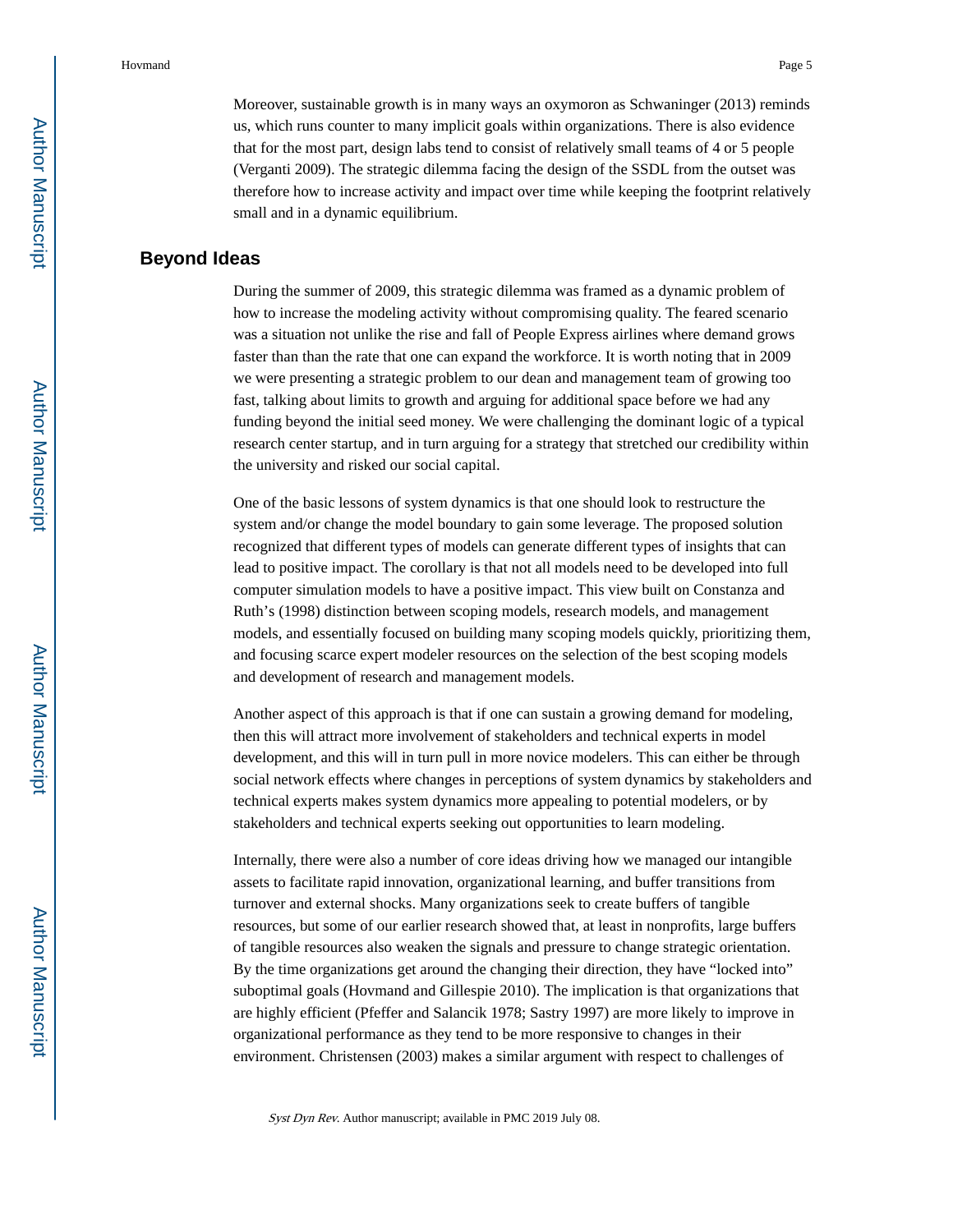Moreover, sustainable growth is in many ways an oxymoron as Schwaninger (2013) reminds us, which runs counter to many implicit goals within organizations. There is also evidence that for the most part, design labs tend to consist of relatively small teams of 4 or 5 people (Verganti 2009). The strategic dilemma facing the design of the SSDL from the outset was therefore how to increase activity and impact over time while keeping the footprint relatively small and in a dynamic equilibrium.

#### **Beyond Ideas**

During the summer of 2009, this strategic dilemma was framed as a dynamic problem of how to increase the modeling activity without compromising quality. The feared scenario was a situation not unlike the rise and fall of People Express airlines where demand grows faster than than the rate that one can expand the workforce. It is worth noting that in 2009 we were presenting a strategic problem to our dean and management team of growing too fast, talking about limits to growth and arguing for additional space before we had any funding beyond the initial seed money. We were challenging the dominant logic of a typical research center startup, and in turn arguing for a strategy that stretched our credibility within the university and risked our social capital.

One of the basic lessons of system dynamics is that one should look to restructure the system and/or change the model boundary to gain some leverage. The proposed solution recognized that different types of models can generate different types of insights that can lead to positive impact. The corollary is that not all models need to be developed into full computer simulation models to have a positive impact. This view built on Constanza and Ruth's (1998) distinction between scoping models, research models, and management models, and essentially focused on building many scoping models quickly, prioritizing them, and focusing scarce expert modeler resources on the selection of the best scoping models and development of research and management models.

Another aspect of this approach is that if one can sustain a growing demand for modeling, then this will attract more involvement of stakeholders and technical experts in model development, and this will in turn pull in more novice modelers. This can either be through social network effects where changes in perceptions of system dynamics by stakeholders and technical experts makes system dynamics more appealing to potential modelers, or by stakeholders and technical experts seeking out opportunities to learn modeling.

Internally, there were also a number of core ideas driving how we managed our intangible assets to facilitate rapid innovation, organizational learning, and buffer transitions from turnover and external shocks. Many organizations seek to create buffers of tangible resources, but some of our earlier research showed that, at least in nonprofits, large buffers of tangible resources also weaken the signals and pressure to change strategic orientation. By the time organizations get around the changing their direction, they have "locked into" suboptimal goals (Hovmand and Gillespie 2010). The implication is that organizations that are highly efficient (Pfeffer and Salancik 1978; Sastry 1997) are more likely to improve in organizational performance as they tend to be more responsive to changes in their environment. Christensen (2003) makes a similar argument with respect to challenges of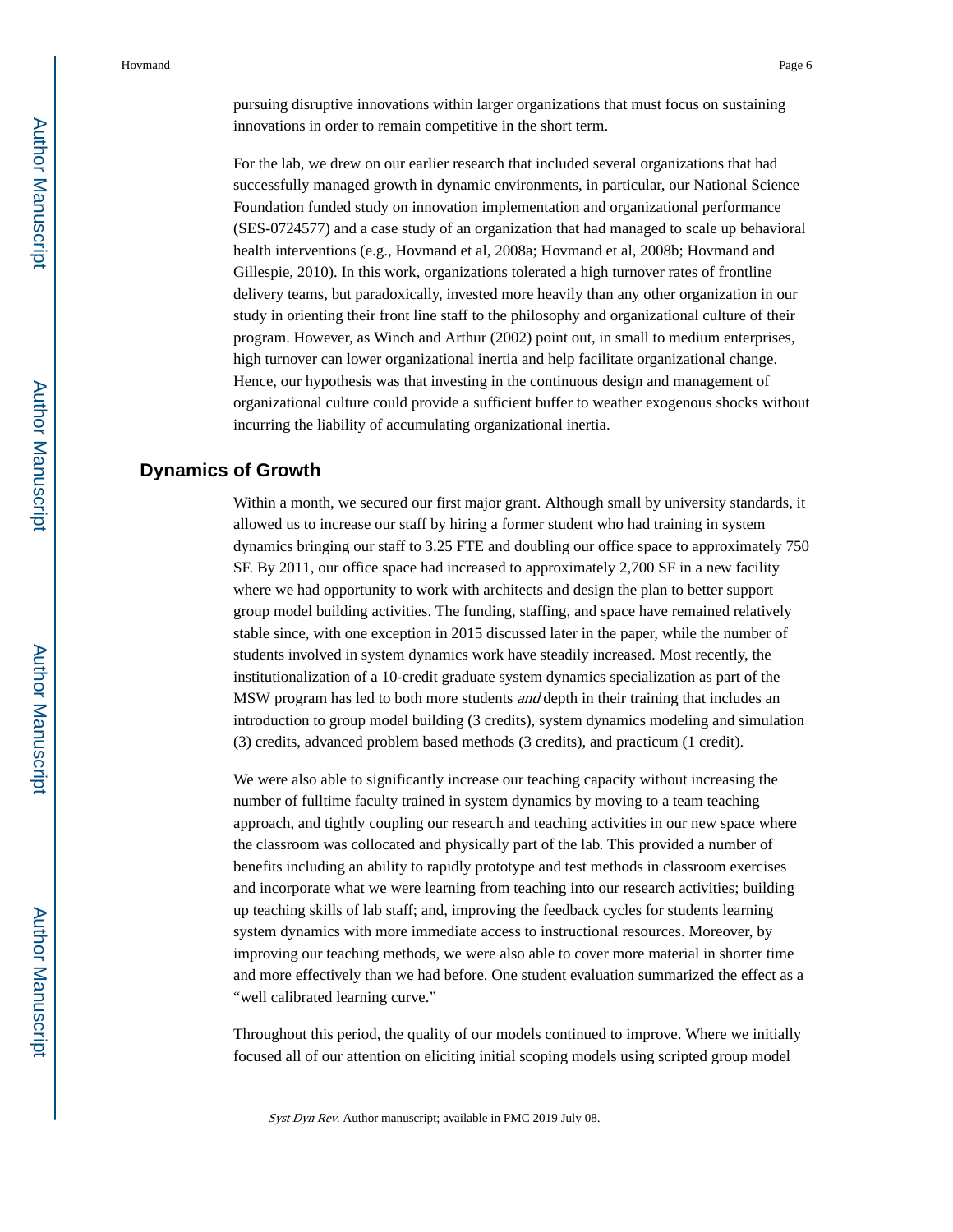pursuing disruptive innovations within larger organizations that must focus on sustaining innovations in order to remain competitive in the short term.

For the lab, we drew on our earlier research that included several organizations that had successfully managed growth in dynamic environments, in particular, our National Science Foundation funded study on innovation implementation and organizational performance (SES-0724577) and a case study of an organization that had managed to scale up behavioral health interventions (e.g., Hovmand et al, 2008a; Hovmand et al, 2008b; Hovmand and Gillespie, 2010). In this work, organizations tolerated a high turnover rates of frontline delivery teams, but paradoxically, invested more heavily than any other organization in our study in orienting their front line staff to the philosophy and organizational culture of their program. However, as Winch and Arthur (2002) point out, in small to medium enterprises, high turnover can lower organizational inertia and help facilitate organizational change. Hence, our hypothesis was that investing in the continuous design and management of organizational culture could provide a sufficient buffer to weather exogenous shocks without incurring the liability of accumulating organizational inertia.

# **Dynamics of Growth**

Within a month, we secured our first major grant. Although small by university standards, it allowed us to increase our staff by hiring a former student who had training in system dynamics bringing our staff to 3.25 FTE and doubling our office space to approximately 750 SF. By 2011, our office space had increased to approximately 2,700 SF in a new facility where we had opportunity to work with architects and design the plan to better support group model building activities. The funding, staffing, and space have remained relatively stable since, with one exception in 2015 discussed later in the paper, while the number of students involved in system dynamics work have steadily increased. Most recently, the institutionalization of a 10-credit graduate system dynamics specialization as part of the MSW program has led to both more students and depth in their training that includes an introduction to group model building (3 credits), system dynamics modeling and simulation (3) credits, advanced problem based methods (3 credits), and practicum (1 credit).

We were also able to significantly increase our teaching capacity without increasing the number of fulltime faculty trained in system dynamics by moving to a team teaching approach, and tightly coupling our research and teaching activities in our new space where the classroom was collocated and physically part of the lab. This provided a number of benefits including an ability to rapidly prototype and test methods in classroom exercises and incorporate what we were learning from teaching into our research activities; building up teaching skills of lab staff; and, improving the feedback cycles for students learning system dynamics with more immediate access to instructional resources. Moreover, by improving our teaching methods, we were also able to cover more material in shorter time and more effectively than we had before. One student evaluation summarized the effect as a "well calibrated learning curve."

Throughout this period, the quality of our models continued to improve. Where we initially focused all of our attention on eliciting initial scoping models using scripted group model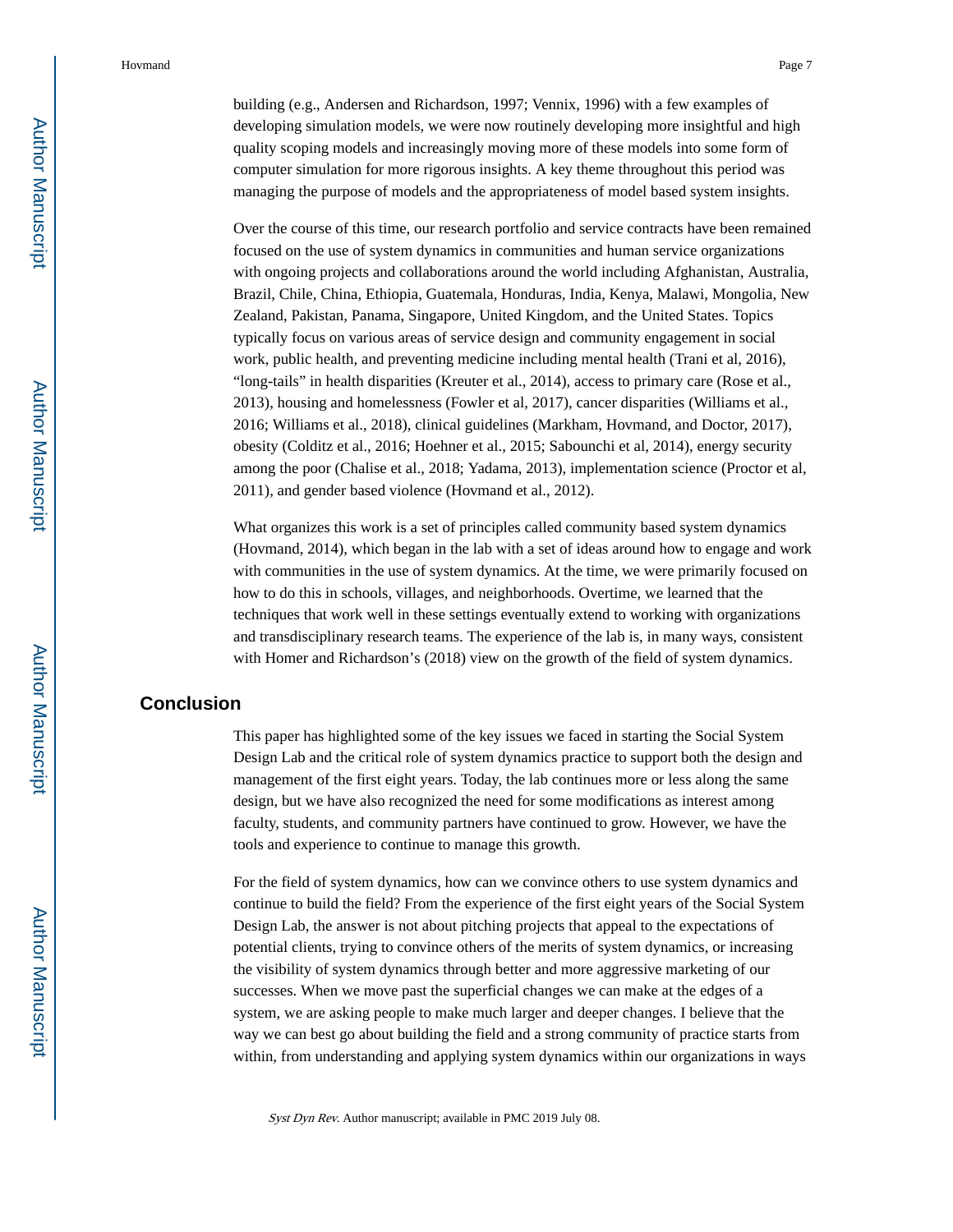building (e.g., Andersen and Richardson, 1997; Vennix, 1996) with a few examples of developing simulation models, we were now routinely developing more insightful and high quality scoping models and increasingly moving more of these models into some form of computer simulation for more rigorous insights. A key theme throughout this period was managing the purpose of models and the appropriateness of model based system insights.

Over the course of this time, our research portfolio and service contracts have been remained focused on the use of system dynamics in communities and human service organizations with ongoing projects and collaborations around the world including Afghanistan, Australia, Brazil, Chile, China, Ethiopia, Guatemala, Honduras, India, Kenya, Malawi, Mongolia, New Zealand, Pakistan, Panama, Singapore, United Kingdom, and the United States. Topics typically focus on various areas of service design and community engagement in social work, public health, and preventing medicine including mental health (Trani et al, 2016), "long-tails" in health disparities (Kreuter et al., 2014), access to primary care (Rose et al., 2013), housing and homelessness (Fowler et al, 2017), cancer disparities (Williams et al., 2016; Williams et al., 2018), clinical guidelines (Markham, Hovmand, and Doctor, 2017), obesity (Colditz et al., 2016; Hoehner et al., 2015; Sabounchi et al, 2014), energy security among the poor (Chalise et al., 2018; Yadama, 2013), implementation science (Proctor et al, 2011), and gender based violence (Hovmand et al., 2012).

What organizes this work is a set of principles called community based system dynamics (Hovmand, 2014), which began in the lab with a set of ideas around how to engage and work with communities in the use of system dynamics. At the time, we were primarily focused on how to do this in schools, villages, and neighborhoods. Overtime, we learned that the techniques that work well in these settings eventually extend to working with organizations and transdisciplinary research teams. The experience of the lab is, in many ways, consistent with Homer and Richardson's (2018) view on the growth of the field of system dynamics.

# **Conclusion**

This paper has highlighted some of the key issues we faced in starting the Social System Design Lab and the critical role of system dynamics practice to support both the design and management of the first eight years. Today, the lab continues more or less along the same design, but we have also recognized the need for some modifications as interest among faculty, students, and community partners have continued to grow. However, we have the tools and experience to continue to manage this growth.

For the field of system dynamics, how can we convince others to use system dynamics and continue to build the field? From the experience of the first eight years of the Social System Design Lab, the answer is not about pitching projects that appeal to the expectations of potential clients, trying to convince others of the merits of system dynamics, or increasing the visibility of system dynamics through better and more aggressive marketing of our successes. When we move past the superficial changes we can make at the edges of a system, we are asking people to make much larger and deeper changes. I believe that the way we can best go about building the field and a strong community of practice starts from within, from understanding and applying system dynamics within our organizations in ways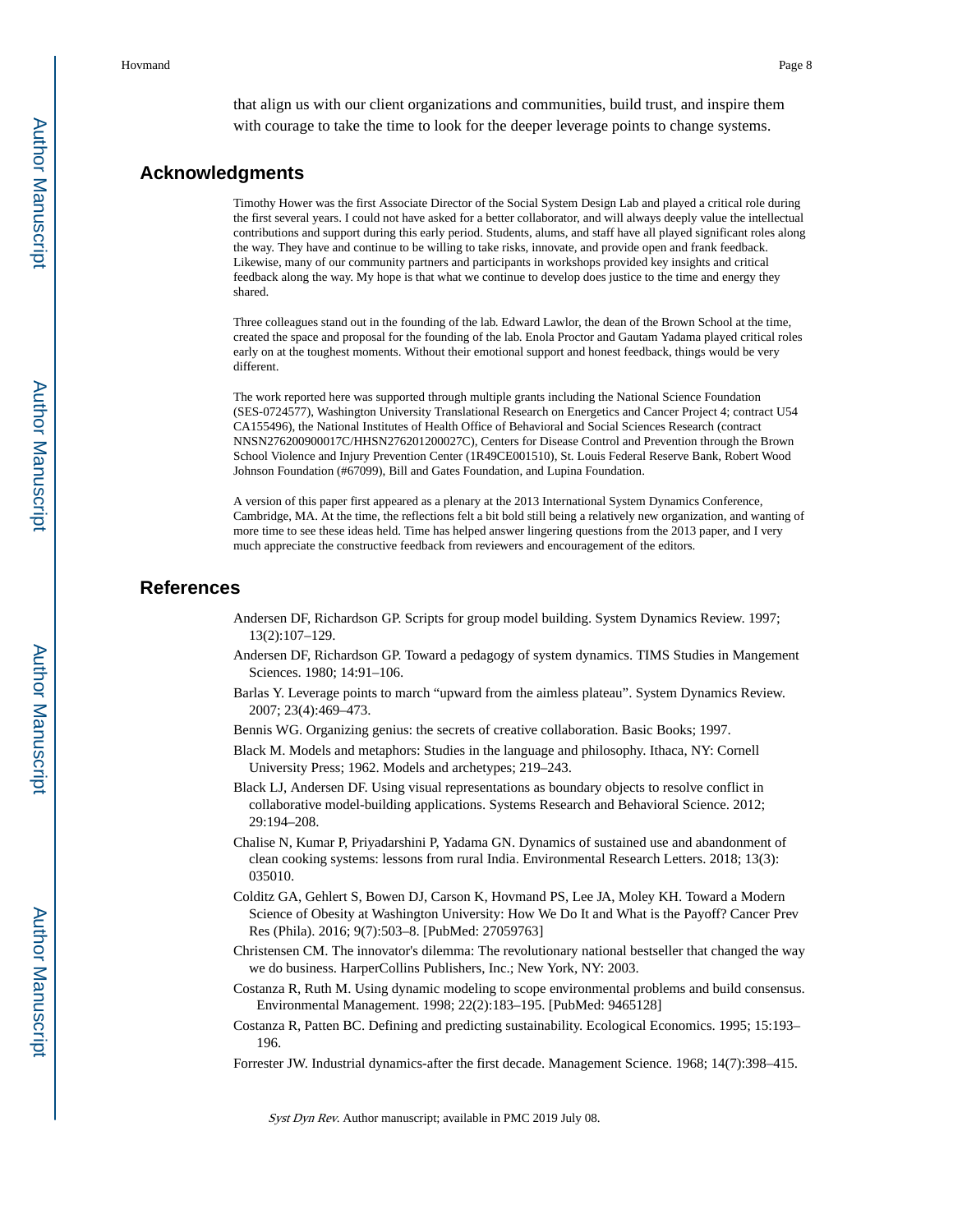that align us with our client organizations and communities, build trust, and inspire them with courage to take the time to look for the deeper leverage points to change systems.

#### **Acknowledgments**

Timothy Hower was the first Associate Director of the Social System Design Lab and played a critical role during the first several years. I could not have asked for a better collaborator, and will always deeply value the intellectual contributions and support during this early period. Students, alums, and staff have all played significant roles along the way. They have and continue to be willing to take risks, innovate, and provide open and frank feedback. Likewise, many of our community partners and participants in workshops provided key insights and critical feedback along the way. My hope is that what we continue to develop does justice to the time and energy they shared.

Three colleagues stand out in the founding of the lab. Edward Lawlor, the dean of the Brown School at the time, created the space and proposal for the founding of the lab. Enola Proctor and Gautam Yadama played critical roles early on at the toughest moments. Without their emotional support and honest feedback, things would be very different.

The work reported here was supported through multiple grants including the National Science Foundation (SES-0724577), Washington University Translational Research on Energetics and Cancer Project 4; contract U54 CA155496), the National Institutes of Health Office of Behavioral and Social Sciences Research (contract NNSN276200900017C/HHSN276201200027C), Centers for Disease Control and Prevention through the Brown School Violence and Injury Prevention Center (1R49CE001510), St. Louis Federal Reserve Bank, Robert Wood Johnson Foundation (#67099), Bill and Gates Foundation, and Lupina Foundation.

A version of this paper first appeared as a plenary at the 2013 International System Dynamics Conference, Cambridge, MA. At the time, the reflections felt a bit bold still being a relatively new organization, and wanting of more time to see these ideas held. Time has helped answer lingering questions from the 2013 paper, and I very much appreciate the constructive feedback from reviewers and encouragement of the editors.

#### **References**

- Andersen DF, Richardson GP. Scripts for group model building. System Dynamics Review. 1997; 13(2):107–129.
- Andersen DF, Richardson GP. Toward a pedagogy of system dynamics. TIMS Studies in Mangement Sciences. 1980; 14:91–106.
- Barlas Y. Leverage points to march "upward from the aimless plateau". System Dynamics Review. 2007; 23(4):469–473.
- Bennis WG. Organizing genius: the secrets of creative collaboration. Basic Books; 1997.
- Black M. Models and metaphors: Studies in the language and philosophy. Ithaca, NY: Cornell University Press; 1962. Models and archetypes; 219–243.
- Black LJ, Andersen DF. Using visual representations as boundary objects to resolve conflict in collaborative model-building applications. Systems Research and Behavioral Science. 2012; 29:194–208.
- Chalise N, Kumar P, Priyadarshini P, Yadama GN. Dynamics of sustained use and abandonment of clean cooking systems: lessons from rural India. Environmental Research Letters. 2018; 13(3): 035010.
- Colditz GA, Gehlert S, Bowen DJ, Carson K, Hovmand PS, Lee JA, Moley KH. Toward a Modern Science of Obesity at Washington University: How We Do It and What is the Payoff? Cancer Prev Res (Phila). 2016; 9(7):503–8. [PubMed: 27059763]
- Christensen CM. The innovator's dilemma: The revolutionary national bestseller that changed the way we do business. HarperCollins Publishers, Inc.; New York, NY: 2003.
- Costanza R, Ruth M. Using dynamic modeling to scope environmental problems and build consensus. Environmental Management. 1998; 22(2):183–195. [PubMed: 9465128]
- Costanza R, Patten BC. Defining and predicting sustainability. Ecological Economics. 1995; 15:193– 196.
- Forrester JW. Industrial dynamics-after the first decade. Management Science. 1968; 14(7):398–415.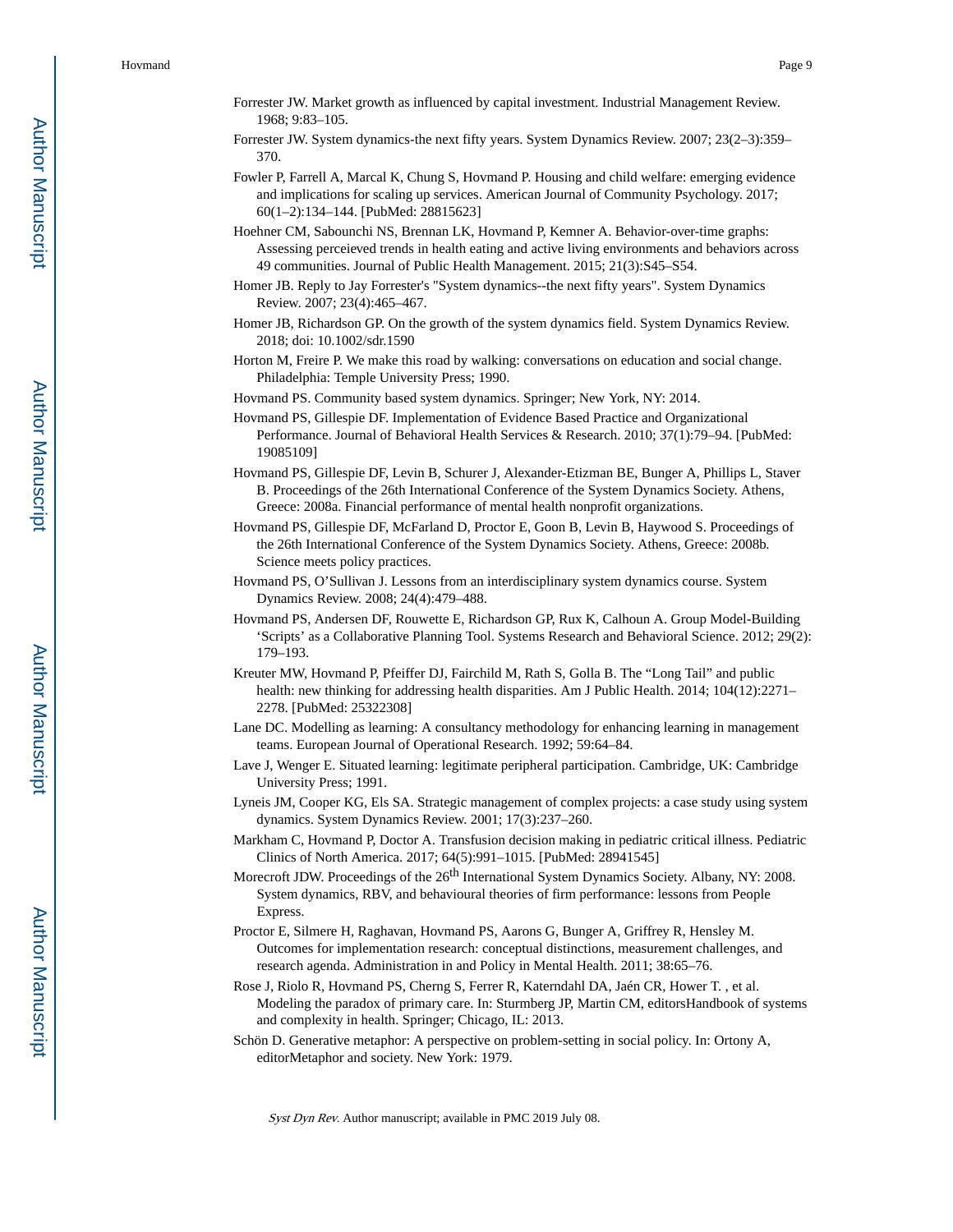- Forrester JW. Market growth as influenced by capital investment. Industrial Management Review. 1968; 9:83–105.
- Forrester JW. System dynamics-the next fifty years. System Dynamics Review. 2007; 23(2–3):359– 370.
- Fowler P, Farrell A, Marcal K, Chung S, Hovmand P. Housing and child welfare: emerging evidence and implications for scaling up services. American Journal of Community Psychology. 2017; 60(1–2):134–144. [PubMed: 28815623]
- Hoehner CM, Sabounchi NS, Brennan LK, Hovmand P, Kemner A. Behavior-over-time graphs: Assessing perceieved trends in health eating and active living environments and behaviors across 49 communities. Journal of Public Health Management. 2015; 21(3):S45–S54.
- Homer JB. Reply to Jay Forrester's "System dynamics--the next fifty years". System Dynamics Review. 2007; 23(4):465–467.
- Homer JB, Richardson GP. On the growth of the system dynamics field. System Dynamics Review. 2018; doi: 10.1002/sdr.1590
- Horton M, Freire P. We make this road by walking: conversations on education and social change. Philadelphia: Temple University Press; 1990.
- Hovmand PS. Community based system dynamics. Springer; New York, NY: 2014.
- Hovmand PS, Gillespie DF. Implementation of Evidence Based Practice and Organizational Performance. Journal of Behavioral Health Services & Research. 2010; 37(1):79–94. [PubMed: 19085109]
- Hovmand PS, Gillespie DF, Levin B, Schurer J, Alexander-Etizman BE, Bunger A, Phillips L, Staver B. Proceedings of the 26th International Conference of the System Dynamics Society. Athens, Greece: 2008a. Financial performance of mental health nonprofit organizations.
- Hovmand PS, Gillespie DF, McFarland D, Proctor E, Goon B, Levin B, Haywood S. Proceedings of the 26th International Conference of the System Dynamics Society. Athens, Greece: 2008b. Science meets policy practices.
- Hovmand PS, O'Sullivan J. Lessons from an interdisciplinary system dynamics course. System Dynamics Review. 2008; 24(4):479–488.
- Hovmand PS, Andersen DF, Rouwette E, Richardson GP, Rux K, Calhoun A. Group Model-Building 'Scripts' as a Collaborative Planning Tool. Systems Research and Behavioral Science. 2012; 29(2): 179–193.
- Kreuter MW, Hovmand P, Pfeiffer DJ, Fairchild M, Rath S, Golla B. The "Long Tail" and public health: new thinking for addressing health disparities. Am J Public Health. 2014; 104(12):2271– 2278. [PubMed: 25322308]
- Lane DC. Modelling as learning: A consultancy methodology for enhancing learning in management teams. European Journal of Operational Research. 1992; 59:64–84.
- Lave J, Wenger E. Situated learning: legitimate peripheral participation. Cambridge, UK: Cambridge University Press; 1991.
- Lyneis JM, Cooper KG, Els SA. Strategic management of complex projects: a case study using system dynamics. System Dynamics Review. 2001; 17(3):237–260.
- Markham C, Hovmand P, Doctor A. Transfusion decision making in pediatric critical illness. Pediatric Clinics of North America. 2017; 64(5):991–1015. [PubMed: 28941545]
- Morecroft JDW. Proceedings of the 26<sup>th</sup> International System Dynamics Society. Albany, NY: 2008. System dynamics, RBV, and behavioural theories of firm performance: lessons from People Express.
- Proctor E, Silmere H, Raghavan, Hovmand PS, Aarons G, Bunger A, Griffrey R, Hensley M. Outcomes for implementation research: conceptual distinctions, measurement challenges, and research agenda. Administration in and Policy in Mental Health. 2011; 38:65–76.
- Rose J, Riolo R, Hovmand PS, Cherng S, Ferrer R, Katerndahl DA, Jaén CR, Hower T. , et al. Modeling the paradox of primary care. In: Sturmberg JP, Martin CM, editorsHandbook of systems and complexity in health. Springer; Chicago, IL: 2013.
- Schön D. Generative metaphor: A perspective on problem-setting in social policy. In: Ortony A, editorMetaphor and society. New York: 1979.